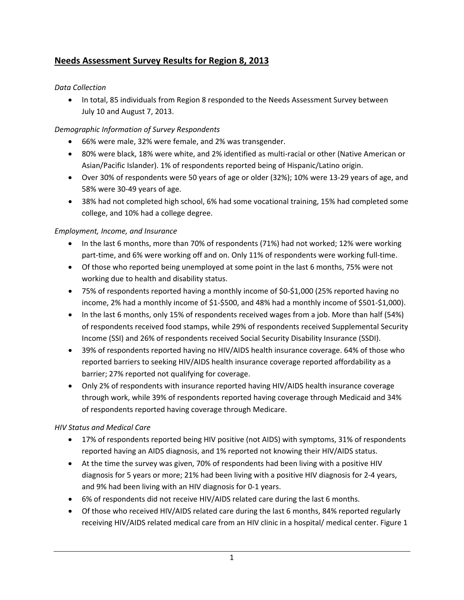# **Needs Assessment Survey Results for Region 8, 2013**

### *Data Collection*

• In total, 85 individuals from Region 8 responded to the Needs Assessment Survey between July 10 and August 7, 2013.

## *Demographic Information of Survey Respondents*

- 66% were male, 32% were female, and 2% was transgender.
- 80% were black, 18% were white, and 2% identified as multi‐racial or other (Native American or Asian/Pacific Islander). 1% of respondents reported being of Hispanic/Latino origin.
- Over 30% of respondents were 50 years of age or older (32%); 10% were 13‐29 years of age, and 58% were 30‐49 years of age.
- 38% had not completed high school, 6% had some vocational training, 15% had completed some college, and 10% had a college degree.

### *Employment, Income, and Insurance*

- In the last 6 months, more than 70% of respondents (71%) had not worked; 12% were working part-time, and 6% were working off and on. Only 11% of respondents were working full-time.
- Of those who reported being unemployed at some point in the last 6 months, 75% were not working due to health and disability status.
- 75% of respondents reported having a monthly income of \$0‐\$1,000 (25% reported having no income, 2% had a monthly income of \$1‐\$500, and 48% had a monthly income of \$501‐\$1,000).
- In the last 6 months, only 15% of respondents received wages from a job. More than half (54%) of respondents received food stamps, while 29% of respondents received Supplemental Security Income (SSI) and 26% of respondents received Social Security Disability Insurance (SSDI).
- 39% of respondents reported having no HIV/AIDS health insurance coverage. 64% of those who reported barriers to seeking HIV/AIDS health insurance coverage reported affordability as a barrier; 27% reported not qualifying for coverage.
- Only 2% of respondents with insurance reported having HIV/AIDS health insurance coverage through work, while 39% of respondents reported having coverage through Medicaid and 34% of respondents reported having coverage through Medicare.

# *HIV Status and Medical Care*

- 17% of respondents reported being HIV positive (not AIDS) with symptoms, 31% of respondents reported having an AIDS diagnosis, and 1% reported not knowing their HIV/AIDS status.
- At the time the survey was given, 70% of respondents had been living with a positive HIV diagnosis for 5 years or more; 21% had been living with a positive HIV diagnosis for 2‐4 years, and 9% had been living with an HIV diagnosis for 0‐1 years.
- 6% of respondents did not receive HIV/AIDS related care during the last 6 months.
- Of those who received HIV/AIDS related care during the last 6 months, 84% reported regularly receiving HIV/AIDS related medical care from an HIV clinic in a hospital/ medical center. Figure 1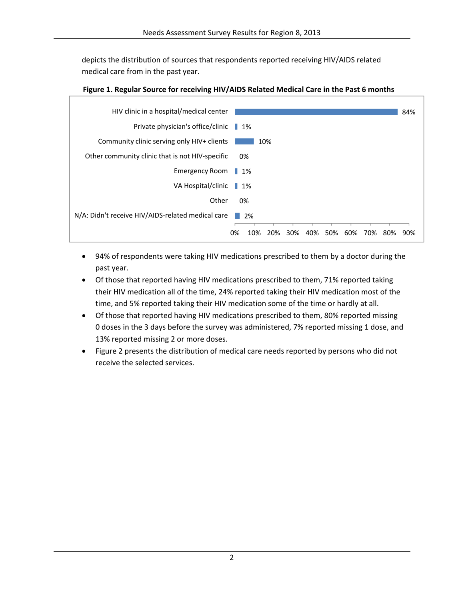depicts the distribution of sources that respondents reported receiving HIV/AIDS related medical care from in the past year.



### **Figure 1. Regular Source for receiving HIV/AIDS Related Medical Care in the Past 6 months**

- 94% of respondents were taking HIV medications prescribed to them by a doctor during the past year.
- Of those that reported having HIV medications prescribed to them, 71% reported taking their HIV medication all of the time, 24% reported taking their HIV medication most of the time, and 5% reported taking their HIV medication some of the time or hardly at all.
- Of those that reported having HIV medications prescribed to them, 80% reported missing 0 doses in the 3 days before the survey was administered, 7% reported missing 1 dose, and 13% reported missing 2 or more doses.
- Figure 2 presents the distribution of medical care needs reported by persons who did not receive the selected services.